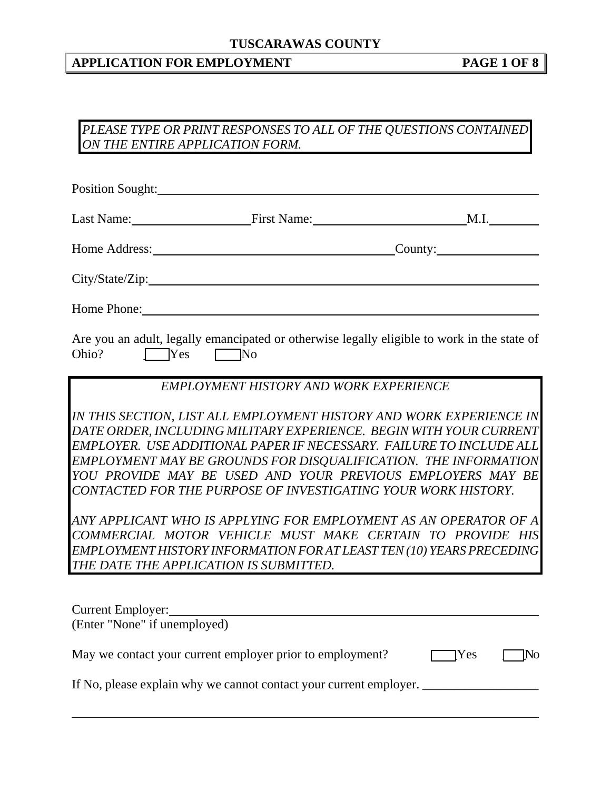## **APPLICATION FOR EMPLOYMENT PAGE 1 OF 8**

### *PLEASE TYPE OR PRINT RESPONSES TO ALL OF THE QUESTIONS CONTAINED ON THE ENTIRE APPLICATION FORM.*

|                              | <b>Position Sought:</b>                                   |                                                                                                                                                                                                                                                                                                                                                                                                                                                                                                                                                                                                                                                                          |
|------------------------------|-----------------------------------------------------------|--------------------------------------------------------------------------------------------------------------------------------------------------------------------------------------------------------------------------------------------------------------------------------------------------------------------------------------------------------------------------------------------------------------------------------------------------------------------------------------------------------------------------------------------------------------------------------------------------------------------------------------------------------------------------|
|                              |                                                           | Last Name: First Name: M.I.                                                                                                                                                                                                                                                                                                                                                                                                                                                                                                                                                                                                                                              |
|                              |                                                           | Home Address: County: County:                                                                                                                                                                                                                                                                                                                                                                                                                                                                                                                                                                                                                                            |
|                              |                                                           |                                                                                                                                                                                                                                                                                                                                                                                                                                                                                                                                                                                                                                                                          |
|                              |                                                           |                                                                                                                                                                                                                                                                                                                                                                                                                                                                                                                                                                                                                                                                          |
| Ohio? TYes                   | $\Box$ No                                                 | Are you an adult, legally emancipated or otherwise legally eligible to work in the state of                                                                                                                                                                                                                                                                                                                                                                                                                                                                                                                                                                              |
|                              | <b>EMPLOYMENT HISTORY AND WORK EXPERIENCE</b>             |                                                                                                                                                                                                                                                                                                                                                                                                                                                                                                                                                                                                                                                                          |
|                              | THE DATE THE APPLICATION IS SUBMITTED.                    | IN THIS SECTION, LIST ALL EMPLOYMENT HISTORY AND WORK EXPERIENCE IN<br>DATE ORDER, INCLUDING MILITARY EXPERIENCE. BEGIN WITH YOUR CURRENT<br>EMPLOYER. USE ADDITIONAL PAPER IF NECESSARY. FAILURE TO INCLUDE ALL<br>EMPLOYMENT MAY BE GROUNDS FOR DISQUALIFICATION. THE INFORMATION<br>YOU PROVIDE MAY BE USED AND YOUR PREVIOUS EMPLOYERS MAY BE<br>CONTACTED FOR THE PURPOSE OF INVESTIGATING YOUR WORK HISTORY.<br>ANY APPLICANT WHO IS APPLYING FOR EMPLOYMENT AS AN OPERATOR OF A<br>COMMERCIAL MOTOR VEHICLE MUST MAKE CERTAIN TO PROVIDE HIS<br>EMPLOYMENT HISTORY INFORMATION FOR AT LEAST TEN (10) YEARS PRECEDING<br><u> 1980 - Jan Barat, prima politik (</u> |
| (Enter "None" if unemployed) | Current Employer:<br><u>Current Employer:</u>             |                                                                                                                                                                                                                                                                                                                                                                                                                                                                                                                                                                                                                                                                          |
|                              | May we contact your current employer prior to employment? | 1No<br><b>TYes</b>                                                                                                                                                                                                                                                                                                                                                                                                                                                                                                                                                                                                                                                       |
| $\frac{1}{2}$                |                                                           |                                                                                                                                                                                                                                                                                                                                                                                                                                                                                                                                                                                                                                                                          |

If No, please explain why we cannot contact your current employer. \_\_\_\_\_\_\_\_\_\_\_\_\_

 $\overline{a}$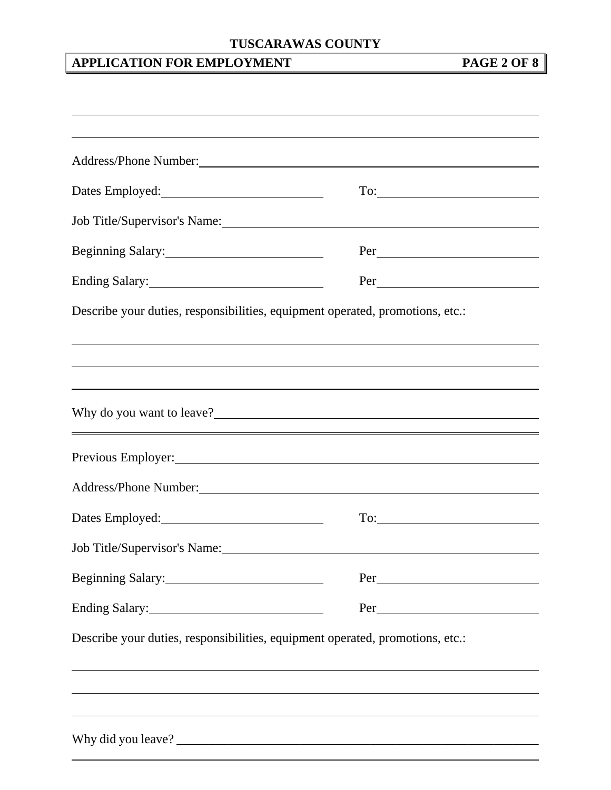# **APPLICATION FOR EMPLOYMENT PAGE 2 OF 8**

|                                           | Address/Phone Number: 1988 and 2008 and 2008 and 2008 and 2008 and 2008 and 2008 and 2008 and 2008 and 2008 and 2008 and 2008 and 2008 and 2008 and 2008 and 2008 and 2008 and 2008 and 2008 and 2008 and 2008 and 2008 and 20 |
|-------------------------------------------|--------------------------------------------------------------------------------------------------------------------------------------------------------------------------------------------------------------------------------|
| Dates Employed:<br><u>Dates Employed:</u> |                                                                                                                                                                                                                                |
|                                           | Job Title/Supervisor's Name: 1988                                                                                                                                                                                              |
| Beginning Salary: 1997                    |                                                                                                                                                                                                                                |
|                                           | $Per$ $\qquad$                                                                                                                                                                                                                 |
|                                           | ,我们也不会有什么。""我们的人,我们也不会有什么?""我们的人,我们也不会有什么?""我们的人,我们也不会有什么?""我们的人,我们也不会有什么?""我们的人                                                                                                                                               |
|                                           | Why do you want to leave?                                                                                                                                                                                                      |
|                                           | Previous Employer: Note and the Contract of the Contract of the Contract of the Contract of the Contract of the Contract of the Contract of the Contract of the Contract of the Contract of the Contract of the Contract of th |
|                                           | Address/Phone Number: 1988 and 2008 and 2008 and 2008 and 2008 and 2008 and 2008 and 2008 and 2008 and 2008 and 2008 and 2008 and 2008 and 2008 and 2008 and 2008 and 2008 and 2008 and 2008 and 2008 and 2008 and 2008 and 20 |
|                                           | $\text{To:}\n \begin{array}{c}\n \text{---}\n \end{array}$                                                                                                                                                                     |
| Job Title/Supervisor's Name:              |                                                                                                                                                                                                                                |
| Beginning Salary:                         |                                                                                                                                                                                                                                |
| Ending Salary:                            |                                                                                                                                                                                                                                |
|                                           | Describe your duties, responsibilities, equipment operated, promotions, etc.:                                                                                                                                                  |
|                                           |                                                                                                                                                                                                                                |
|                                           | ,我们也不会有什么。""我们的人,我们也不会有什么?""我们的人,我们也不会有什么?""我们的人,我们也不会有什么?""我们的人,我们也不会有什么?""我们的人                                                                                                                                               |
|                                           | ,我们也不会有一个人的人,我们也不会有一个人的人,我们也不会有一个人的人,我们也不会有一个人的人,我们也不会有一个人的人。""我们的人,我们也不会有一个人的人,我                                                                                                                                              |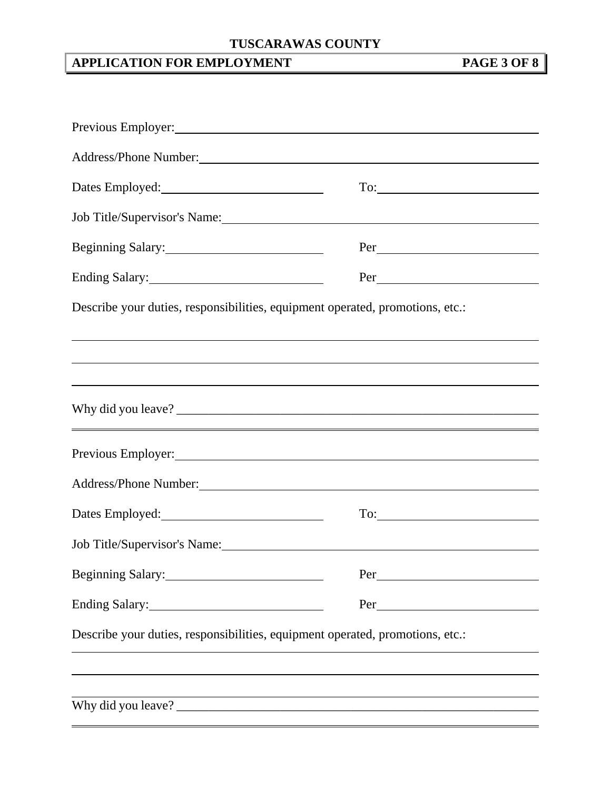# **APPLICATION FOR EMPLOYMENT PAGE 3 OF 8**

| Previous Employer: North Communication of the Communication of the Communication of the Communication of the Communication of the Communication of the Communication of the Communication of the Communication of the Communic |
|--------------------------------------------------------------------------------------------------------------------------------------------------------------------------------------------------------------------------------|
|                                                                                                                                                                                                                                |
|                                                                                                                                                                                                                                |
| Job Title/Supervisor's Name: 1988 and 2008 and 2008 and 2008 and 2008 and 2008 and 2008 and 2008 and 2008 and 2008 and 2008 and 2008 and 2008 and 2008 and 2008 and 2008 and 2008 and 2008 and 2008 and 2008 and 2008 and 2008 |
| Beginning Salary:                                                                                                                                                                                                              |
| Ending Salary:<br><u>Ending Salary:</u>                                                                                                                                                                                        |
| Describe your duties, responsibilities, equipment operated, promotions, etc.:                                                                                                                                                  |
|                                                                                                                                                                                                                                |
| ,我们也不会有什么。""我们的人,我们也不会有什么?""我们的人,我们也不会有什么?""我们的人,我们也不会有什么?""我们的人,我们也不会有什么?""我们的人                                                                                                                                               |
|                                                                                                                                                                                                                                |
| Previous Employer: New York Contract Contract Contract Contract Contract Contract Contract Contract Contract Contract Contract Contract Contract Contract Contract Contract Contract Contract Contract Contract Contract Contr |
| Address/Phone Number:                                                                                                                                                                                                          |
|                                                                                                                                                                                                                                |
|                                                                                                                                                                                                                                |
|                                                                                                                                                                                                                                |
|                                                                                                                                                                                                                                |
| Describe your duties, responsibilities, equipment operated, promotions, etc.:                                                                                                                                                  |
|                                                                                                                                                                                                                                |
| <u> 1989 - Johann Stoff, amerikansk politiker (* 1908)</u>                                                                                                                                                                     |
|                                                                                                                                                                                                                                |
|                                                                                                                                                                                                                                |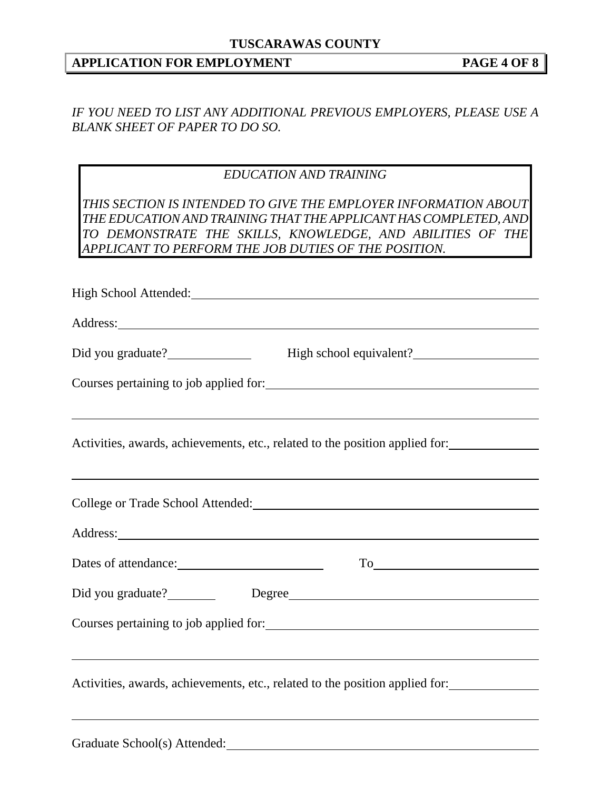### **APPLICATION FOR EMPLOYMENT PAGE 4 OF 8**

*IF YOU NEED TO LIST ANY ADDITIONAL PREVIOUS EMPLOYERS, PLEASE USE A BLANK SHEET OF PAPER TO DO SO.* 

### *EDUCATION AND TRAINING*

*THIS SECTION IS INTENDED TO GIVE THE EMPLOYER INFORMATION ABOUT THE EDUCATION AND TRAINING THAT THE APPLICANT HAS COMPLETED, AND TO DEMONSTRATE THE SKILLS, KNOWLEDGE, AND ABILITIES OF THE APPLICANT TO PERFORM THE JOB DUTIES OF THE POSITION.* 

High School Attended: 2000 Million Contact Contact Contact Contact Contact Contact Contact Contact Contact Contact Contact Contact Contact Contact Contact Contact Contact Contact Contact Contact Contact Contact Contact Con Address: Did you graduate? High school equivalent? Courses pertaining to job applied for:  $\overline{a}$ Activities, awards, achievements, etc., related to the position applied for:  $\overline{a}$ College or Trade School Attended: Address: Dates of attendance: To Did you graduate? Degree Degree Courses pertaining to job applied for:  $\overline{a}$ Activities, awards, achievements, etc., related to the position applied for:  $\overline{a}$ 

Graduate School(s) Attended: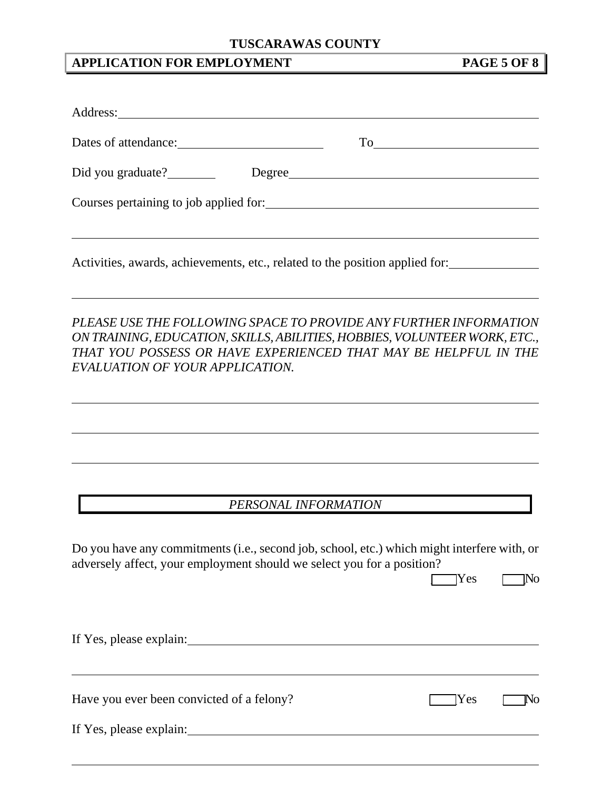## **APPLICATION FOR EMPLOYMENT PAGE 5 OF 8**

 $\overline{a}$ 

|                                                                        | Activities, awards, achievements, etc., related to the position applied for:                                                                                                                                                                                                                                                               |
|------------------------------------------------------------------------|--------------------------------------------------------------------------------------------------------------------------------------------------------------------------------------------------------------------------------------------------------------------------------------------------------------------------------------------|
| EVALUATION OF YOUR APPLICATION.                                        | <u> 1989 - Johann Stoff, deutscher Stoffen und der Stoffen und der Stoffen und der Stoffen und der Stoffen und de</u><br>PLEASE USE THE FOLLOWING SPACE TO PROVIDE ANY FURTHER INFORMATION<br>ON TRAINING, EDUCATION, SKILLS, ABILITIES, HOBBIES, VOLUNTEER WORK, ETC.,<br>THAT YOU POSSESS OR HAVE EXPERIENCED THAT MAY BE HELPFUL IN THE |
|                                                                        | ,我们也不会有什么。""我们的人,我们也不会有什么?""我们的人,我们也不会有什么?""我们的人,我们也不会有什么?""我们的人,我们也不会有什么?""我们的人<br>,我们也不会有什么。""我们的人,我们也不会有什么?""我们的人,我们也不会有什么?""我们的人,我们也不会有什么?""我们的人,我们也不会有什么?""我们的人                                                                                                                                                                       |
|                                                                        | PERSONAL INFORMATION                                                                                                                                                                                                                                                                                                                       |
| adversely affect, your employment should we select you for a position? | Do you have any commitments (i.e., second job, school, etc.) which might interfere with, or<br>[Yes<br>No                                                                                                                                                                                                                                  |
|                                                                        |                                                                                                                                                                                                                                                                                                                                            |
| Have you ever been convicted of a felony?                              | Yes<br>[No                                                                                                                                                                                                                                                                                                                                 |
| If Yes, please explain:                                                |                                                                                                                                                                                                                                                                                                                                            |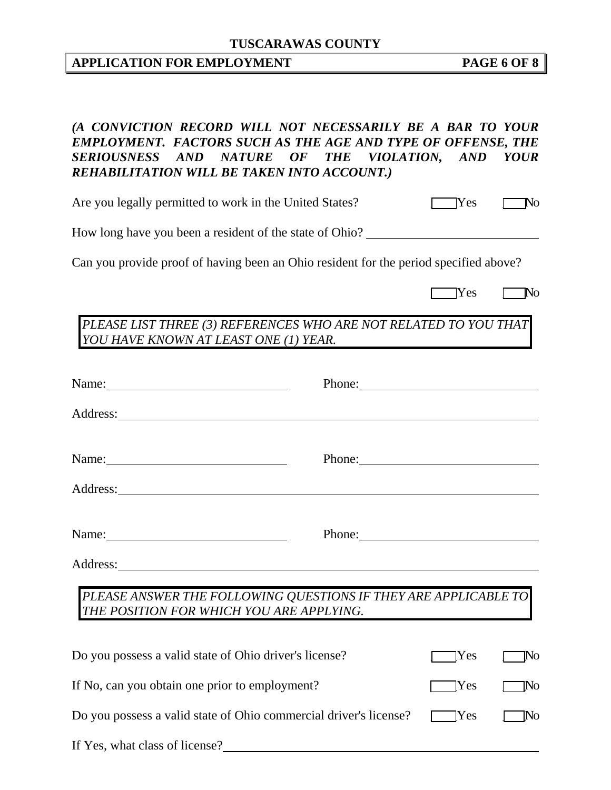# **APPLICATION FOR EMPLOYMENT PAGE 6 OF 8**

| (A CONVICTION RECORD WILL NOT NECESSARILY BE A BAR TO YOUR<br><b>EMPLOYMENT. FACTORS SUCH AS THE AGE AND TYPE OF OFFENSE, THE</b><br>SERIOUSNESS AND NATURE OF THE VIOLATION, AND YOUR<br>REHABILITATION WILL BE TAKEN INTO ACCOUNT.) |                                                                                                                                                                                                                                |              |                   |
|---------------------------------------------------------------------------------------------------------------------------------------------------------------------------------------------------------------------------------------|--------------------------------------------------------------------------------------------------------------------------------------------------------------------------------------------------------------------------------|--------------|-------------------|
| Are you legally permitted to work in the United States?                                                                                                                                                                               | Yes                                                                                                                                                                                                                            | $\neg$ No    |                   |
| How long have you been a resident of the state of Ohio? _________________________                                                                                                                                                     |                                                                                                                                                                                                                                |              |                   |
| Can you provide proof of having been an Ohio resident for the period specified above?                                                                                                                                                 |                                                                                                                                                                                                                                |              |                   |
|                                                                                                                                                                                                                                       |                                                                                                                                                                                                                                | <b>T</b> Yes | $\blacksquare$ No |
| PLEASE LIST THREE (3) REFERENCES WHO ARE NOT RELATED TO YOU THAT<br>YOU HAVE KNOWN AT LEAST ONE (1) YEAR.                                                                                                                             |                                                                                                                                                                                                                                |              |                   |
| Name:                                                                                                                                                                                                                                 | Phone:                                                                                                                                                                                                                         |              |                   |
|                                                                                                                                                                                                                                       |                                                                                                                                                                                                                                |              |                   |
| Name:                                                                                                                                                                                                                                 | Phone: 2008 Phone: 2008 Phone: 2008 Phone: 2008 Phone: 2008 Phone: 2008 Phone: 2008 Phone: 2008 Phone: 2008 Phone: 2008 Phone: 2008 Phone: 2008 Phone: 2008 Phone: 2008 Phone: 2008 Phone: 2008 Phone: 2008 Phone: 2008 Phone: |              |                   |
|                                                                                                                                                                                                                                       |                                                                                                                                                                                                                                |              |                   |
| Name:                                                                                                                                                                                                                                 | Phone:                                                                                                                                                                                                                         |              |                   |
| Address:                                                                                                                                                                                                                              |                                                                                                                                                                                                                                |              |                   |
| PLEASE ANSWER THE FOLLOWING QUESTIONS IF THEY ARE APPLICABLE TO<br>THE POSITION FOR WHICH YOU ARE APPLYING.                                                                                                                           |                                                                                                                                                                                                                                |              |                   |
| Do you possess a valid state of Ohio driver's license?                                                                                                                                                                                |                                                                                                                                                                                                                                | [Yes         | No                |
| If No, can you obtain one prior to employment?                                                                                                                                                                                        |                                                                                                                                                                                                                                | [Yes         | [No               |
| Do you possess a valid state of Ohio commercial driver's license?                                                                                                                                                                     |                                                                                                                                                                                                                                | <b>Yes</b>   | ĮNо               |
| If Yes, what class of license?                                                                                                                                                                                                        |                                                                                                                                                                                                                                |              |                   |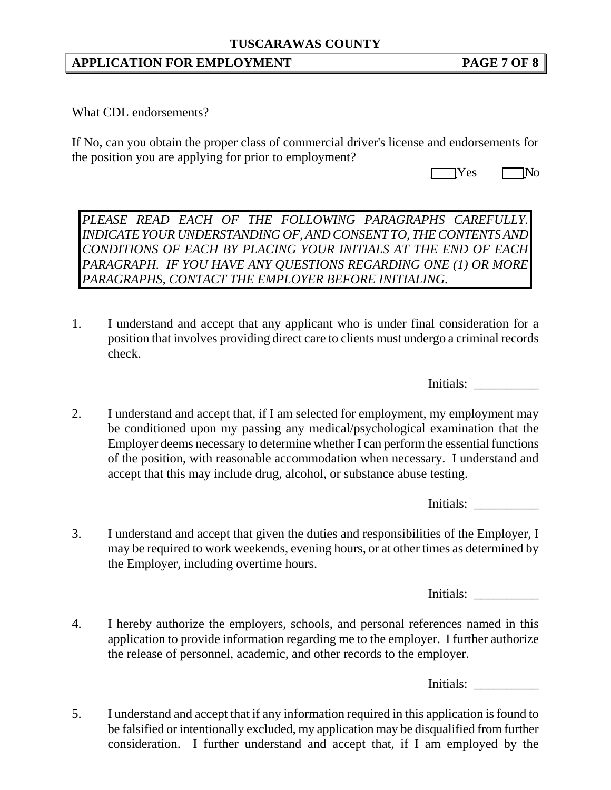#### **APPLICATION FOR EMPLOYMENT PAGE 7 OF 8**

What CDL endorsements?

If No, can you obtain the proper class of commercial driver's license and endorsements for the position you are applying for prior to employment?

| $\sim$<br>$\sim$ |  |
|------------------|--|
|------------------|--|

*PLEASE READ EACH OF THE FOLLOWING PARAGRAPHS CAREFULLY. INDICATE YOUR UNDERSTANDING OF, AND CONSENT TO, THE CONTENTS AND CONDITIONS OF EACH BY PLACING YOUR INITIALS AT THE END OF EACH PARAGRAPH. IF YOU HAVE ANY QUESTIONS REGARDING ONE (1) OR MORE PARAGRAPHS, CONTACT THE EMPLOYER BEFORE INITIALING.* 

1. I understand and accept that any applicant who is under final consideration for a position that involves providing direct care to clients must undergo a criminal records check.

Initials:

2. I understand and accept that, if I am selected for employment, my employment may be conditioned upon my passing any medical/psychological examination that the Employer deems necessary to determine whether I can perform the essential functions of the position, with reasonable accommodation when necessary. I understand and accept that this may include drug, alcohol, or substance abuse testing.

Initials:

3. I understand and accept that given the duties and responsibilities of the Employer, I may be required to work weekends, evening hours, or at other times as determined by the Employer, including overtime hours.

Initials:

4. I hereby authorize the employers, schools, and personal references named in this application to provide information regarding me to the employer. I further authorize the release of personnel, academic, and other records to the employer.

Initials:

5. I understand and accept that if any information required in this application is found to be falsified or intentionally excluded, my application may be disqualified from further consideration. I further understand and accept that, if I am employed by the